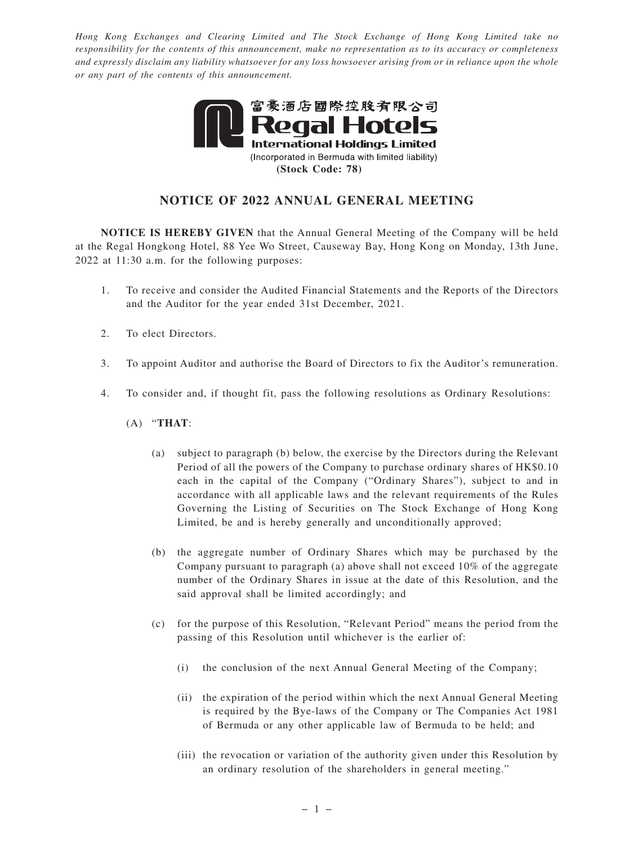*Hong Kong Exchanges and Clearing Limited and The Stock Exchange of Hong Kong Limited take no responsibility for the contents of this announcement, make no representation as to its accuracy or completeness and expressly disclaim any liability whatsoever for any loss howsoever arising from or in reliance upon the whole or any part of the contents of this announcement.*



## **NOTICE OF 2022 ANNUAL GENERAL MEETING**

**NOTICE IS HEREBY GIVEN** that the Annual General Meeting of the Company will be held at the Regal Hongkong Hotel, 88 Yee Wo Street, Causeway Bay, Hong Kong on Monday, 13th June, 2022 at 11:30 a.m. for the following purposes:

- 1. To receive and consider the Audited Financial Statements and the Reports of the Directors and the Auditor for the year ended 31st December, 2021.
- 2. To elect Directors.
- 3. To appoint Auditor and authorise the Board of Directors to fix the Auditor's remuneration.
- 4. To consider and, if thought fit, pass the following resolutions as Ordinary Resolutions:
	- (A) "**THAT**:
		- (a) subject to paragraph (b) below, the exercise by the Directors during the Relevant Period of all the powers of the Company to purchase ordinary shares of HK\$0.10 each in the capital of the Company ("Ordinary Shares"), subject to and in accordance with all applicable laws and the relevant requirements of the Rules Governing the Listing of Securities on The Stock Exchange of Hong Kong Limited, be and is hereby generally and unconditionally approved;
		- (b) the aggregate number of Ordinary Shares which may be purchased by the Company pursuant to paragraph (a) above shall not exceed 10% of the aggregate number of the Ordinary Shares in issue at the date of this Resolution, and the said approval shall be limited accordingly; and
		- (c) for the purpose of this Resolution, "Relevant Period" means the period from the passing of this Resolution until whichever is the earlier of:
			- (i) the conclusion of the next Annual General Meeting of the Company;
			- (ii) the expiration of the period within which the next Annual General Meeting is required by the Bye-laws of the Company or The Companies Act 1981 of Bermuda or any other applicable law of Bermuda to be held; and
			- (iii) the revocation or variation of the authority given under this Resolution by an ordinary resolution of the shareholders in general meeting."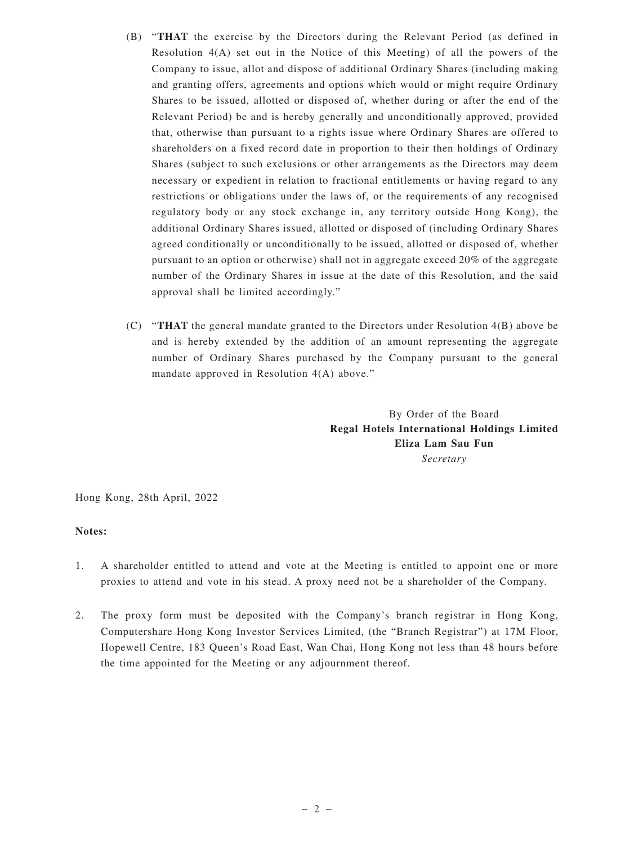- (B) "**THAT** the exercise by the Directors during the Relevant Period (as defined in Resolution 4(A) set out in the Notice of this Meeting) of all the powers of the Company to issue, allot and dispose of additional Ordinary Shares (including making and granting offers, agreements and options which would or might require Ordinary Shares to be issued, allotted or disposed of, whether during or after the end of the Relevant Period) be and is hereby generally and unconditionally approved, provided that, otherwise than pursuant to a rights issue where Ordinary Shares are offered to shareholders on a fixed record date in proportion to their then holdings of Ordinary Shares (subject to such exclusions or other arrangements as the Directors may deem necessary or expedient in relation to fractional entitlements or having regard to any restrictions or obligations under the laws of, or the requirements of any recognised regulatory body or any stock exchange in, any territory outside Hong Kong), the additional Ordinary Shares issued, allotted or disposed of (including Ordinary Shares agreed conditionally or unconditionally to be issued, allotted or disposed of, whether pursuant to an option or otherwise) shall not in aggregate exceed 20% of the aggregate number of the Ordinary Shares in issue at the date of this Resolution, and the said approval shall be limited accordingly."
- (C) "**THAT** the general mandate granted to the Directors under Resolution 4(B) above be and is hereby extended by the addition of an amount representing the aggregate number of Ordinary Shares purchased by the Company pursuant to the general mandate approved in Resolution 4(A) above."

By Order of the Board **Regal Hotels International Holdings Limited Eliza Lam Sau Fun** *Secretary*

Hong Kong, 28th April, 2022

## **Notes:**

- 1. A shareholder entitled to attend and vote at the Meeting is entitled to appoint one or more proxies to attend and vote in his stead. A proxy need not be a shareholder of the Company.
- 2. The proxy form must be deposited with the Company's branch registrar in Hong Kong, Computershare Hong Kong Investor Services Limited, (the "Branch Registrar") at 17M Floor, Hopewell Centre, 183 Queen's Road East, Wan Chai, Hong Kong not less than 48 hours before the time appointed for the Meeting or any adjournment thereof.